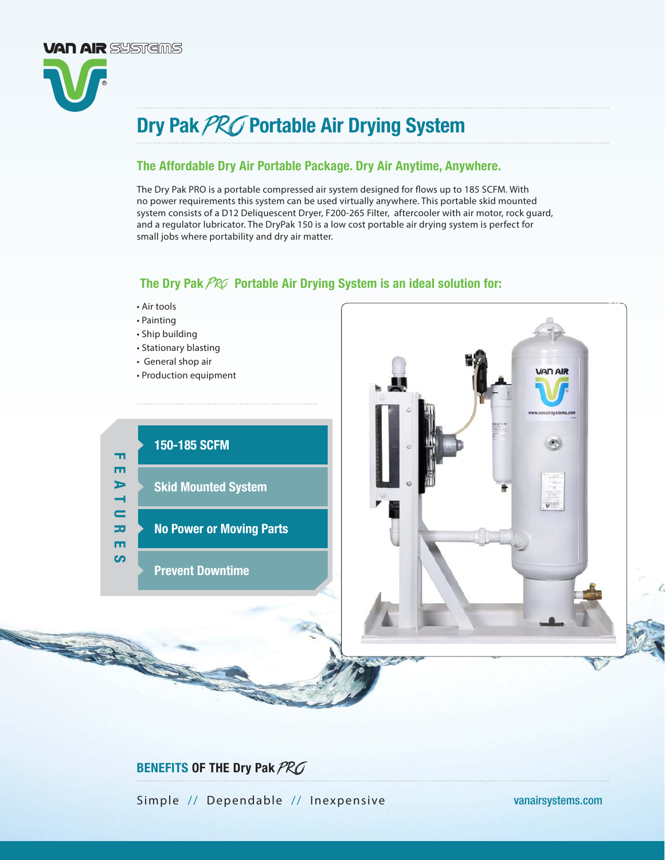

### The Affordable Dry Air Portable Package. Dry Air Anytime, Anywhere.

The Dry Pak PRO is a portable compressed air system designed for flows up to 185 SCFM. With no power requirements this system can be used virtually anywhere. This portable skid mounted system consists of a D12 Deliquescent Dryer, F200-265 Filter, aftercooler with air motor, rock guard, and a regulator lubricator. The DryPak 150 is a low cost portable air drying system is perfect for small jobs where portability and dry air matter.

## The Dry Pak  $PROP$  Portable Air Drying System is an ideal solution for:



**VAN AIR** SYSTEMS

- Painting
- Ship building
- Stationary blasting
- General shop air
- Production equipment



ID15-IND ID15-SW

# BENEFITS OF THE Dry Pak PRO

Simple // Dependable // Inexpensive [vanairsystems.com](http://www.vanairsystems.com)

ID35

**VAN AIR**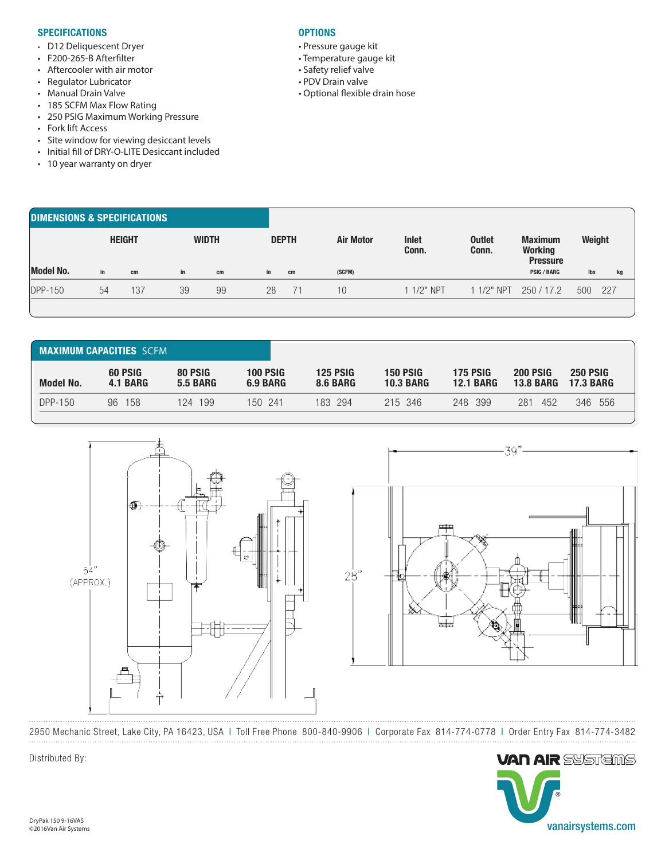#### **SPECIFICATIONS**

- D12 Deliquescent Dryer
- F200-265-B Afterfilter
- Aftercooler with air motor
- Regulator Lubricator
- Manual Drain Valve
- 185 SCFM Max Flow Rating
- 250 PSIG Maximum Working Pressure
- Fork lift Access
- Site window for viewing desiccant levels
- Initial fill of DRY-O-LITE Desiccant included
- 10 year warranty on dryer

#### **OPTIONS**

- Pressure gauge kit
- Temperature gauge kit
- Safety relief valve
- PDV Drain valve
- Optional flexible drain hose

| <b>DIMENSIONS &amp; SPECIFICATIONS</b> |               |     |              |    |  |              |    |                  |                       |                        |                                                     |        |     |
|----------------------------------------|---------------|-----|--------------|----|--|--------------|----|------------------|-----------------------|------------------------|-----------------------------------------------------|--------|-----|
|                                        | <b>HEIGHT</b> |     | <b>WIDTH</b> |    |  | <b>DEPTH</b> |    | <b>Air Motor</b> | <b>Inlet</b><br>Conn. | <b>Outlet</b><br>Conn. | <b>Maximum</b><br><b>Working</b><br><b>Pressure</b> | Weight |     |
| <b>Model No.</b>                       | in            | cm  | in           | cm |  | in           | cm | (SCFM)           |                       |                        | <b>PSIG / BARG</b>                                  | lbs    | kg  |
| <b>DPP-150</b>                         | 54            | 137 | 39           | 99 |  | 28           | 71 | 10 <sup>°</sup>  | 1 1/2" NPT            | 1 1/2" NPT             | 250/17.2                                            | 500    | 227 |
|                                        |               |     |              |    |  |              |    |                  |                       |                        |                                                     |        |     |

| <b>MAXIMUM CAPACITIES SCEM</b> |                     |                            |                             |                                    |                                     |                                     |                                     |                                     |  |  |  |  |
|--------------------------------|---------------------|----------------------------|-----------------------------|------------------------------------|-------------------------------------|-------------------------------------|-------------------------------------|-------------------------------------|--|--|--|--|
| <b>Model No.</b>               | 60 PSIG<br>4.1 BARG | 80 PSIG<br><b>5.5 BARG</b> | <b>100 PSIG</b><br>6.9 BARG | <b>125 PSIG</b><br><b>8.6 BARG</b> | <b>150 PSIG</b><br><b>10.3 BARG</b> | <b>175 PSIG</b><br><b>12.1 BARG</b> | <b>200 PSIG</b><br><b>13.8 BARG</b> | <b>250 PSIG</b><br><b>17.3 BARG</b> |  |  |  |  |
| DPP-150                        | 158<br>96           | 199<br>124                 | 150 241                     | 183 294                            | 215 346                             | 248 399                             | 281<br>452                          | 346<br>556                          |  |  |  |  |





2950 Mechanic Street, Lake City, PA 16423, USA | Toll Free Phone 800-840-9906 | Corporate Fax 814-774-0778 | Order Entry Fax 814-774-3482



Distributed By: